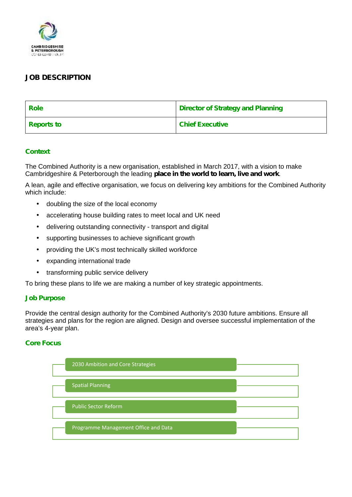

# **JOB DESCRIPTION**

| <b>Role</b>       | <b>Director of Strategy and Planning</b> |
|-------------------|------------------------------------------|
| <b>Reports to</b> | <b>Chief Executive</b>                   |

# **Context**

The Combined Authority is a new organisation, established in March 2017, with a vision to make Cambridgeshire & Peterborough the leading **place in the world to learn, live and work**.

A lean, agile and effective organisation, we focus on delivering key ambitions for the Combined Authority which include:

- doubling the size of the local economy
- accelerating house building rates to meet local and UK need
- delivering outstanding connectivity transport and digital
- supporting businesses to achieve significant growth
- providing the UK's most technically skilled workforce
- expanding international trade
- transforming public service delivery

To bring these plans to life we are making a number of key strategic appointments.

#### **Job Purpose**

Provide the central design authority for the Combined Authority's 2030 future ambitions. Ensure all strategies and plans for the region are aligned. Design and oversee successful implementation of the area's 4-year plan.

# **Core Focus**

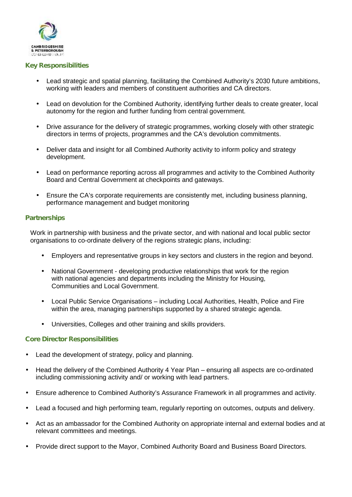

#### **Key Responsibilities**

- Lead strategic and spatial planning, facilitating the Combined Authority's 2030 future ambitions, working with leaders and members of constituent authorities and CA directors.
- Lead on devolution for the Combined Authority, identifying further deals to create greater, local autonomy for the region and further funding from central government.
- Drive assurance for the delivery of strategic programmes, working closely with other strategic directors in terms of projects, programmes and the CA's devolution commitments.
- Deliver data and insight for all Combined Authority activity to inform policy and strategy development.
- Lead on performance reporting across all programmes and activity to the Combined Authority Board and Central Government at checkpoints and gateways.
- Ensure the CA's corporate requirements are consistently met, including business planning, performance management and budget monitoring

#### **Partnerships**

Work in partnership with business and the private sector, and with national and local public sector organisations to co-ordinate delivery of the regions strategic plans, including*:*

- Employers and representative groups in key sectors and clusters in the region and beyond.
- National Government developing productive relationships that work for the region with national agencies and departments including the Ministry for Housing, Communities and Local Government.
- Local Public Service Organisations including Local Authorities, Health, Police and Fire within the area, managing partnerships supported by a shared strategic agenda.
- Universities, Colleges and other training and skills providers.

# **Core Director Responsibilities**

- Lead the development of strategy, policy and planning.
- Head the delivery of the Combined Authority 4 Year Plan ensuring all aspects are co-ordinated including commissioning activity and/ or working with lead partners.
- Ensure adherence to Combined Authority's Assurance Framework in all programmes and activity.
- Lead a focused and high performing team, regularly reporting on outcomes, outputs and delivery.
- Act as an ambassador for the Combined Authority on appropriate internal and external bodies and at relevant committees and meetings.
- Provide direct support to the Mayor, Combined Authority Board and Business Board Directors.